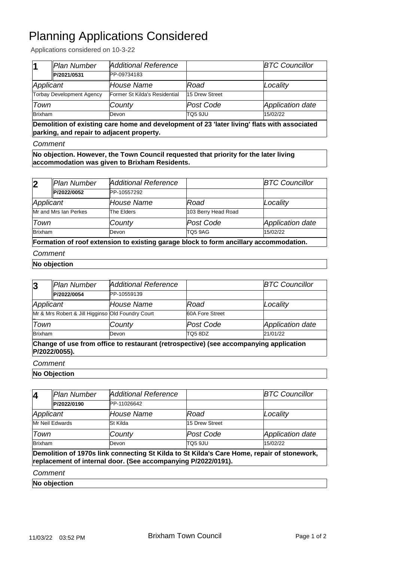## Planning Applications Considered

Applications considered on 10-3-22

|                                  | <b>Plan Number</b> | Additional Reference          |                | <b>BTC Councillor</b> |
|----------------------------------|--------------------|-------------------------------|----------------|-----------------------|
|                                  | P/2021/0531        | PP-09734183                   |                |                       |
| Applicant                        |                    | House Name                    | Road           | Locality              |
| <b>Torbay Development Agency</b> |                    | Former St Kilda's Residential | 15 Drew Street |                       |
| Town                             |                    | County                        | Post Code      | Application date      |
| <b>Brixham</b>                   |                    | Devon                         | TO5 9JU        | 15/02/22              |

**Demolition of existing care home and development of 23 'later living' flats with associated parking, and repair to adjacent property.**

#### *Comment*

**No objection. However, the Town Council requested that priority for the later living accommodation was given to Brixham Residents.**

| $\overline{\mathbf{2}}$ | Plan Number           | Additional Reference                                                                  |                     | <b>BTC Councillor</b> |
|-------------------------|-----------------------|---------------------------------------------------------------------------------------|---------------------|-----------------------|
|                         | P/2022/0052           | PP-10557292                                                                           |                     |                       |
| Applicant               |                       | House Name                                                                            | Road                | Locality              |
|                         | Mr and Mrs Ian Perkes | The Elders                                                                            | 103 Berry Head Road |                       |
| Town                    |                       | County                                                                                | Post Code           | Application date      |
| Brixham                 |                       | Devon                                                                                 | TQ5 9AG             | 15/02/22              |
|                         |                       | Formation of roof extension to existing garage block to form ancillary accommodation. |                     |                       |

### *Comment*

**No objection**

| 3                                                                                                      | Plan Number | Additional Reference |                 | <b>BTC Councillor</b> |
|--------------------------------------------------------------------------------------------------------|-------------|----------------------|-----------------|-----------------------|
|                                                                                                        | P/2022/0054 | PP-10559139          |                 |                       |
| Applicant                                                                                              |             | House Name           | Road            | Locality              |
| Mr & Mrs Robert & Jill Higginso Old Foundry Court                                                      |             |                      | 60A Fore Street |                       |
| Town                                                                                                   |             | County               | Post Code       | Application date      |
| <b>Brixham</b>                                                                                         |             | Devon                | <b>TQ5 8DZ</b>  | 21/01/22              |
| Change of use from office to restaurant (retrospective) (see accompanying application<br>P/2022/0055). |             |                      |                 |                       |

#### *Comment*

**No Objection**

| 4         | Plan Number     | Additional Reference                                          |                | <b>BTC Councillor</b>                                                                      |
|-----------|-----------------|---------------------------------------------------------------|----------------|--------------------------------------------------------------------------------------------|
|           | P/2022/0190     | PP-11026642                                                   |                |                                                                                            |
| Applicant |                 | House Name                                                    | Road           | Locality                                                                                   |
|           | Mr Neil Edwards | St Kilda                                                      | 15 Drew Street |                                                                                            |
| Town      |                 | County                                                        | lPost Code     | Application date                                                                           |
| Brixham   |                 | Devon                                                         | TO5 9JU        | 15/02/22                                                                                   |
|           |                 | replacement of internal door. (See accompanying P/2022/0191). |                | Demolition of 1970s link connecting St Kilda to St Kilda's Care Home, repair of stonework, |
| Comment   |                 |                                                               |                |                                                                                            |
|           |                 |                                                               |                |                                                                                            |

**No objection**